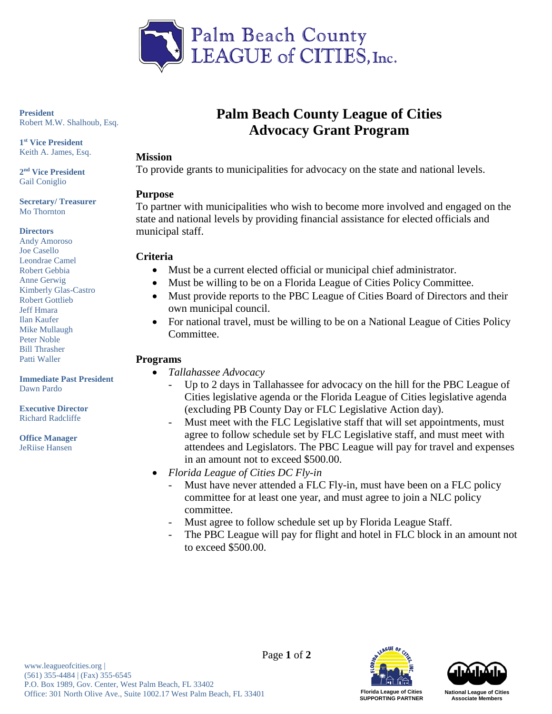

**President**  Robert M.W. Shalhoub, Esq.

**1st Vice President** Keith A. James, Esq.

**2nd Vice President** Gail Coniglio

**Secretary/ Treasurer**  Mo Thornton

#### **Directors**

Andy Amoroso Joe Casello Leondrae Camel Robert Gebbia Anne Gerwig Kimberly Glas-Castro Robert Gottlieb Jeff Hmara Ilan Kaufer Mike Mullaugh Peter Noble Bill Thrasher Patti Waller

**Immediate Past President** Dawn Pardo

**Executive Director** Richard Radcliffe

**Office Manager** JeRiise Hansen

# **Palm Beach County League of Cities Advocacy Grant Program**

#### **Mission**

To provide grants to municipalities for advocacy on the state and national levels.

#### **Purpose**

To partner with municipalities who wish to become more involved and engaged on the state and national levels by providing financial assistance for elected officials and municipal staff.

#### **Criteria**

- Must be a current elected official or municipal chief administrator.
- Must be willing to be on a Florida League of Cities Policy Committee.
- Must provide reports to the PBC League of Cities Board of Directors and their own municipal council.
- For national travel, must be willing to be on a National League of Cities Policy Committee.

## **Programs**

- *Tallahassee Advocacy*
	- Up to 2 days in Tallahassee for advocacy on the hill for the PBC League of Cities legislative agenda or the Florida League of Cities legislative agenda (excluding PB County Day or FLC Legislative Action day).
	- Must meet with the FLC Legislative staff that will set appointments, must agree to follow schedule set by FLC Legislative staff, and must meet with attendees and Legislators. The PBC League will pay for travel and expenses in an amount not to exceed \$500.00.
- *Florida League of Cities DC Fly-in*
	- Must have never attended a FLC Fly-in, must have been on a FLC policy committee for at least one year, and must agree to join a NLC policy committee.
	- Must agree to follow schedule set up by Florida League Staff.
	- The PBC League will pay for flight and hotel in FLC block in an amount not to exceed \$500.00.



**SUPPORTING PARTNER**



**National League of Cities Associate Members**

Page **1** of **2**